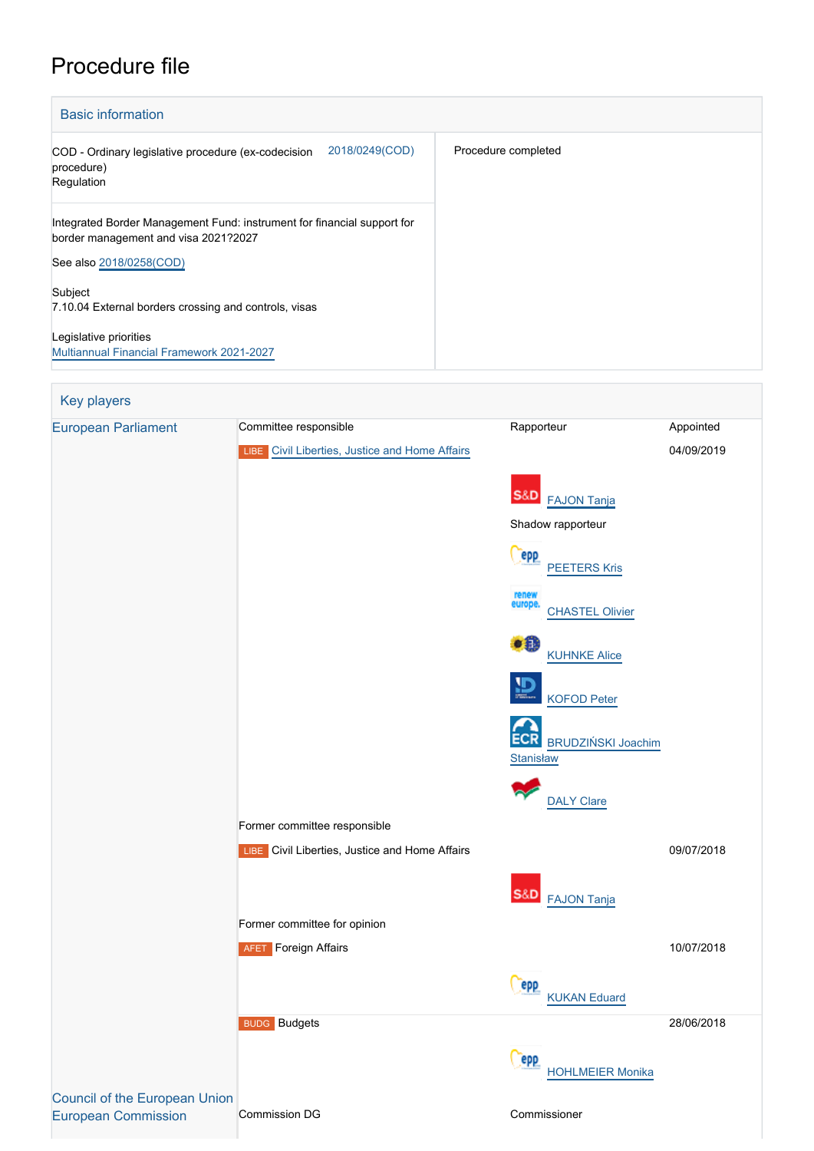# Procedure file

| <b>Basic information</b>                                                                                        |                     |
|-----------------------------------------------------------------------------------------------------------------|---------------------|
| 2018/0249(COD)<br>COD - Ordinary legislative procedure (ex-codecision<br>procedure)<br>Regulation               | Procedure completed |
| Integrated Border Management Fund: instrument for financial support for<br>border management and visa 2021?2027 |                     |
| See also 2018/0258(COD)                                                                                         |                     |
| Subject<br>7.10.04 External borders crossing and controls, visas                                                |                     |
| Legislative priorities<br><b>Multiannual Financial Framework 2021-2027</b>                                      |                     |

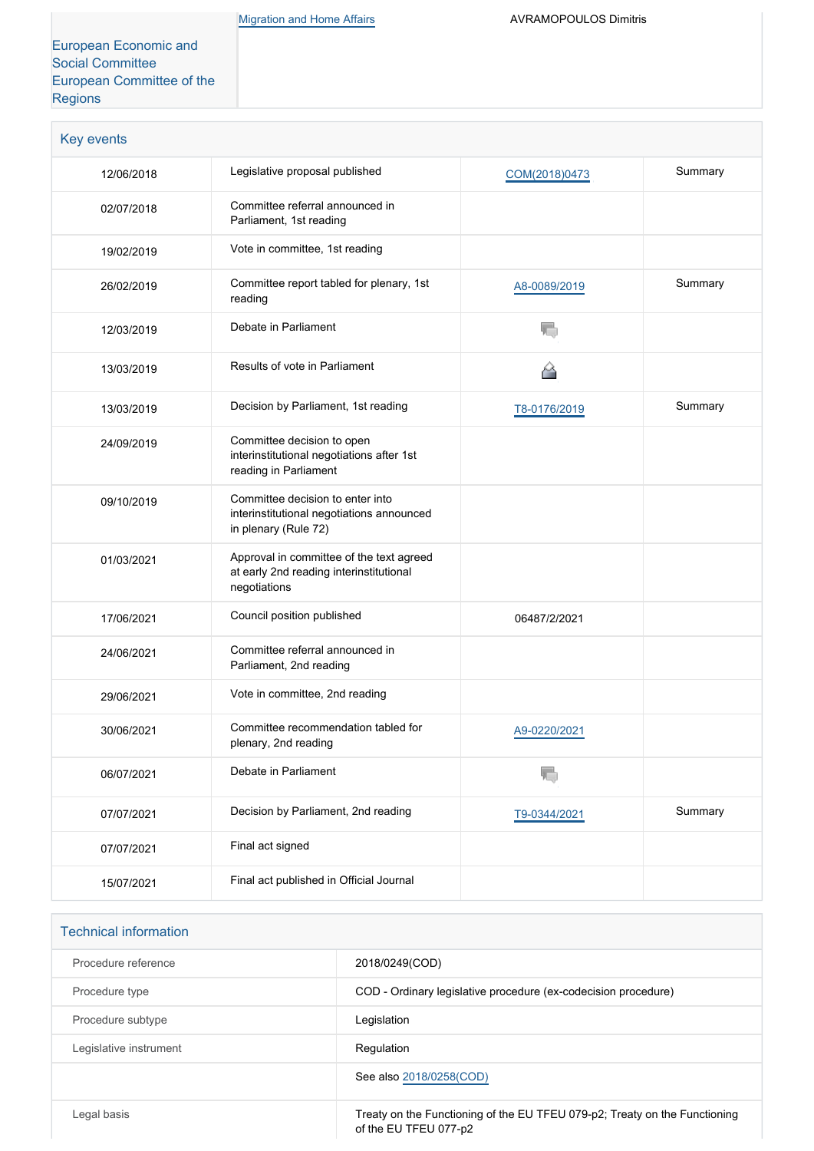[European Economic and](http://www.eesc.europa.eu/) [Social Committee](http://www.eesc.europa.eu/) [European Committee of the](http://www.cor.europa.eu/) [Regions](http://www.cor.europa.eu/)

| Key events |                                                                                                       |               |         |
|------------|-------------------------------------------------------------------------------------------------------|---------------|---------|
| 12/06/2018 | Legislative proposal published                                                                        | COM(2018)0473 |         |
| 02/07/2018 | Committee referral announced in<br>Parliament, 1st reading                                            |               |         |
| 19/02/2019 | Vote in committee, 1st reading                                                                        |               |         |
| 26/02/2019 | Committee report tabled for plenary, 1st<br>reading                                                   | A8-0089/2019  | Summary |
| 12/03/2019 | Debate in Parliament                                                                                  | f,            |         |
| 13/03/2019 | Results of vote in Parliament                                                                         | 6             |         |
| 13/03/2019 | Decision by Parliament, 1st reading                                                                   | T8-0176/2019  | Summary |
| 24/09/2019 | Committee decision to open<br>interinstitutional negotiations after 1st<br>reading in Parliament      |               |         |
| 09/10/2019 | Committee decision to enter into<br>interinstitutional negotiations announced<br>in plenary (Rule 72) |               |         |
| 01/03/2021 | Approval in committee of the text agreed<br>at early 2nd reading interinstitutional<br>negotiations   |               |         |
| 17/06/2021 | Council position published                                                                            | 06487/2/2021  |         |
| 24/06/2021 | Committee referral announced in<br>Parliament, 2nd reading                                            |               |         |
| 29/06/2021 | Vote in committee, 2nd reading                                                                        |               |         |
| 30/06/2021 | Committee recommendation tabled for<br>plenary, 2nd reading                                           | A9-0220/2021  |         |
| 06/07/2021 | Debate in Parliament                                                                                  | T.            |         |
| 07/07/2021 | Decision by Parliament, 2nd reading                                                                   | T9-0344/2021  | Summary |
| 07/07/2021 | Final act signed                                                                                      |               |         |
| 15/07/2021 | Final act published in Official Journal                                                               |               |         |

| <b>Technical information</b> |                                                                                                     |
|------------------------------|-----------------------------------------------------------------------------------------------------|
| Procedure reference          | 2018/0249(COD)                                                                                      |
| Procedure type               | COD - Ordinary legislative procedure (ex-codecision procedure)                                      |
| Procedure subtype            | Legislation                                                                                         |
| Legislative instrument       | Regulation                                                                                          |
|                              | See also 2018/0258(COD)                                                                             |
| Legal basis                  | Treaty on the Functioning of the EU TFEU 079-p2; Treaty on the Functioning<br>of the EU TFEU 077-p2 |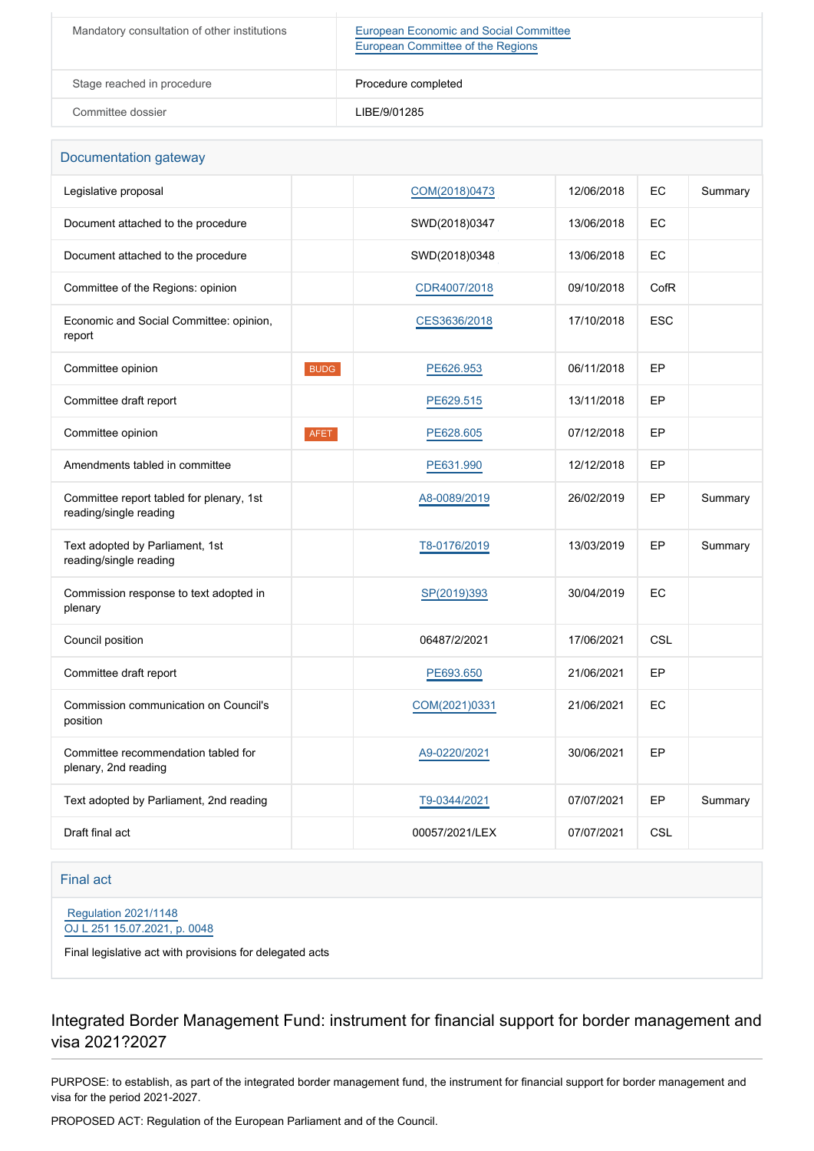| Mandatory consultation of other institutions | <b>European Economic and Social Committee</b><br>European Committee of the Regions |
|----------------------------------------------|------------------------------------------------------------------------------------|
| Stage reached in procedure                   | Procedure completed                                                                |
| Committee dossier                            | LIBE/9/01285                                                                       |

| Documentation gateway                                              |             |                |            |            |         |
|--------------------------------------------------------------------|-------------|----------------|------------|------------|---------|
| Legislative proposal                                               |             | COM(2018)0473  | 12/06/2018 | EC         | Summary |
| Document attached to the procedure                                 |             | SWD(2018)0347  | 13/06/2018 | EC         |         |
| Document attached to the procedure                                 |             | SWD(2018)0348  | 13/06/2018 | EC         |         |
| Committee of the Regions: opinion                                  |             | CDR4007/2018   | 09/10/2018 | CofR       |         |
| Economic and Social Committee: opinion,<br>report                  |             | CES3636/2018   | 17/10/2018 | <b>ESC</b> |         |
| Committee opinion                                                  | <b>BUDG</b> | PE626.953      | 06/11/2018 | EP         |         |
| Committee draft report                                             |             | PE629.515      | 13/11/2018 | EP         |         |
| Committee opinion                                                  | <b>AFET</b> | PE628.605      | 07/12/2018 | EP         |         |
| Amendments tabled in committee                                     |             | PE631.990      | 12/12/2018 | EP         |         |
| Committee report tabled for plenary, 1st<br>reading/single reading |             | A8-0089/2019   | 26/02/2019 | EP         | Summary |
| Text adopted by Parliament, 1st<br>reading/single reading          |             | T8-0176/2019   | 13/03/2019 | EP         | Summary |
| Commission response to text adopted in<br>plenary                  |             | SP(2019)393    | 30/04/2019 | EC         |         |
| Council position                                                   |             | 06487/2/2021   | 17/06/2021 | <b>CSL</b> |         |
| Committee draft report                                             |             | PE693.650      | 21/06/2021 | EP         |         |
| Commission communication on Council's<br>position                  |             | COM(2021)0331  | 21/06/2021 | EC         |         |
| Committee recommendation tabled for<br>plenary, 2nd reading        |             | A9-0220/2021   | 30/06/2021 | EP         |         |
| Text adopted by Parliament, 2nd reading                            |             | T9-0344/2021   | 07/07/2021 | EP         | Summary |
| Draft final act                                                    |             | 00057/2021/LEX | 07/07/2021 | <b>CSL</b> |         |

Final act

 [Regulation 2021/1148](https://eur-lex.europa.eu/smartapi/cgi/sga_doc?smartapi!celexplus!prod!CELEXnumdoc&lg=EN&numdoc=32021R1148) [OJ L 251 15.07.2021, p. 0048](https://eur-lex.europa.eu/legal-content/EN/TXT/?uri=OJ:L:2021:251:TOC)

Final legislative act with provisions for delegated acts

Integrated Border Management Fund: instrument for financial support for border management and visa 2021?2027

PURPOSE: to establish, as part of the integrated border management fund, the instrument for financial support for border management and visa for the period 2021-2027.

PROPOSED ACT: Regulation of the European Parliament and of the Council.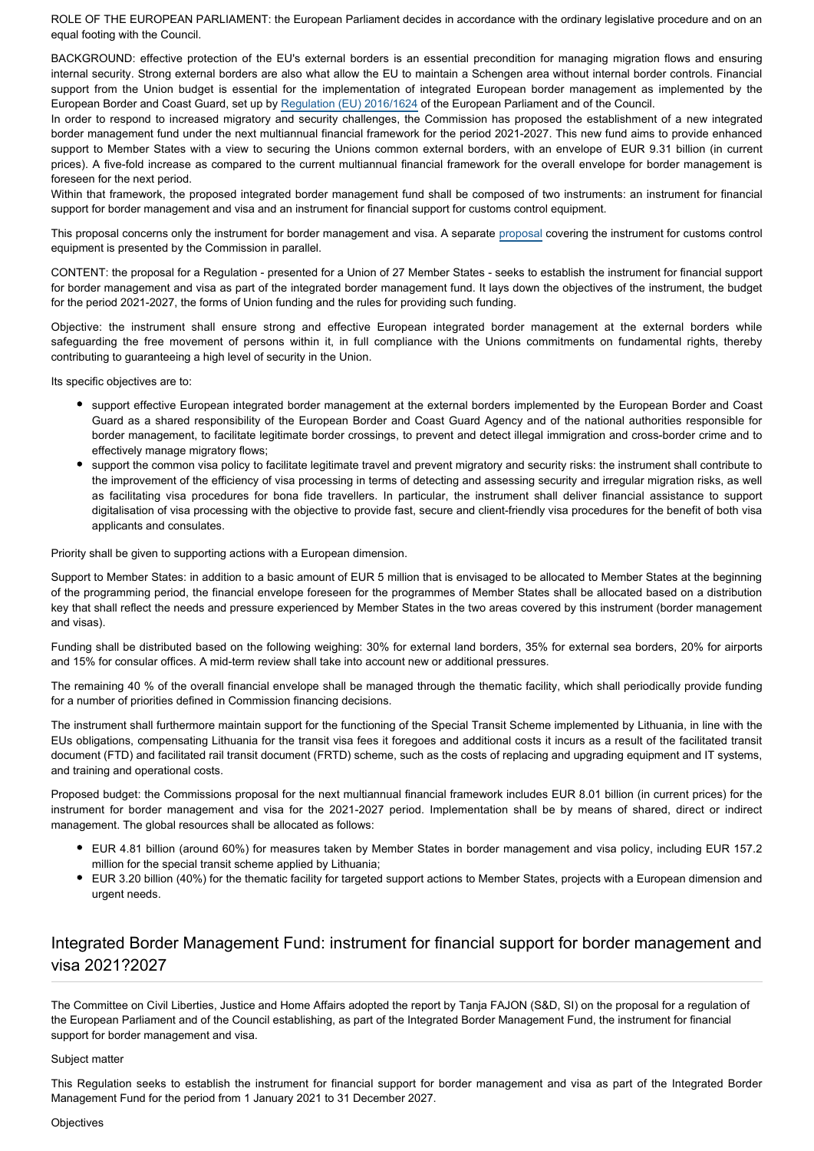ROLE OF THE EUROPEAN PARLIAMENT: the European Parliament decides in accordance with the ordinary legislative procedure and on an equal footing with the Council.

BACKGROUND: effective protection of the EU's external borders is an essential precondition for managing migration flows and ensuring internal security. Strong external borders are also what allow the EU to maintain a Schengen area without internal border controls. Financial support from the Union budget is essential for the implementation of integrated European border management as implemented by the European Border and Coast Guard, set up by [Regulation \(EU\) 2016/1624](https://eur-lex.europa.eu/legal-content/EN/TXT/?qid=1529525772306&uri=CELEX:32016R1624) of the European Parliament and of the Council.

In order to respond to increased migratory and security challenges, the Commission has proposed the establishment of a new integrated border management fund under the next multiannual financial framework for the period 2021-2027. This new fund aims to provide enhanced support to Member States with a view to securing the Unions common external borders, with an envelope of EUR 9.31 billion (in current prices). A five-fold increase as compared to the current multiannual financial framework for the overall envelope for border management is foreseen for the next period.

Within that framework, the proposed integrated border management fund shall be composed of two instruments: an instrument for financial support for border management and visa and an instrument for financial support for customs control equipment.

This proposal concerns only the instrument for border management and visa. A separate [proposal](http://www.europarl.europa.eu/oeil/popups/ficheprocedure.do?reference=2018/0258(COD)&l=en) covering the instrument for customs control equipment is presented by the Commission in parallel.

CONTENT: the proposal for a Regulation - presented for a Union of 27 Member States - seeks to establish the instrument for financial support for border management and visa as part of the integrated border management fund. It lays down the objectives of the instrument, the budget for the period 2021-2027, the forms of Union funding and the rules for providing such funding.

Objective: the instrument shall ensure strong and effective European integrated border management at the external borders while safeguarding the free movement of persons within it, in full compliance with the Unions commitments on fundamental rights, thereby contributing to guaranteeing a high level of security in the Union.

Its specific objectives are to:

- support effective European integrated border management at the external borders implemented by the European Border and Coast Guard as a shared responsibility of the European Border and Coast Guard Agency and of the national authorities responsible for border management, to facilitate legitimate border crossings, to prevent and detect illegal immigration and cross-border crime and to effectively manage migratory flows;
- support the common visa policy to facilitate legitimate travel and prevent migratory and security risks: the instrument shall contribute to the improvement of the efficiency of visa processing in terms of detecting and assessing security and irregular migration risks, as well as facilitating visa procedures for bona fide travellers. In particular, the instrument shall deliver financial assistance to support digitalisation of visa processing with the objective to provide fast, secure and client-friendly visa procedures for the benefit of both visa applicants and consulates.

Priority shall be given to supporting actions with a European dimension.

Support to Member States: in addition to a basic amount of EUR 5 million that is envisaged to be allocated to Member States at the beginning of the programming period, the financial envelope foreseen for the programmes of Member States shall be allocated based on a distribution key that shall reflect the needs and pressure experienced by Member States in the two areas covered by this instrument (border management and visas).

Funding shall be distributed based on the following weighing: 30% for external land borders, 35% for external sea borders, 20% for airports and 15% for consular offices. A mid-term review shall take into account new or additional pressures.

The remaining 40 % of the overall financial envelope shall be managed through the thematic facility, which shall periodically provide funding for a number of priorities defined in Commission financing decisions.

The instrument shall furthermore maintain support for the functioning of the Special Transit Scheme implemented by Lithuania, in line with the EUs obligations, compensating Lithuania for the transit visa fees it foregoes and additional costs it incurs as a result of the facilitated transit document (FTD) and facilitated rail transit document (FRTD) scheme, such as the costs of replacing and upgrading equipment and IT systems, and training and operational costs.

Proposed budget: the Commissions proposal for the next multiannual financial framework includes EUR 8.01 billion (in current prices) for the instrument for border management and visa for the 2021-2027 period. Implementation shall be by means of shared, direct or indirect management. The global resources shall be allocated as follows:

- EUR 4.81 billion (around 60%) for measures taken by Member States in border management and visa policy, including EUR 157.2 million for the special transit scheme applied by Lithuania;
- EUR 3.20 billion (40%) for the thematic facility for targeted support actions to Member States, projects with a European dimension and urgent needs.

# Integrated Border Management Fund: instrument for financial support for border management and visa 2021?2027

The Committee on Civil Liberties, Justice and Home Affairs adopted the report by Tanja FAJON (S&D, SI) on the proposal for a regulation of the European Parliament and of the Council establishing, as part of the Integrated Border Management Fund, the instrument for financial support for border management and visa.

# Subject matter

This Regulation seeks to establish the instrument for financial support for border management and visa as part of the Integrated Border Management Fund for the period from 1 January 2021 to 31 December 2027.

#### **Objectives**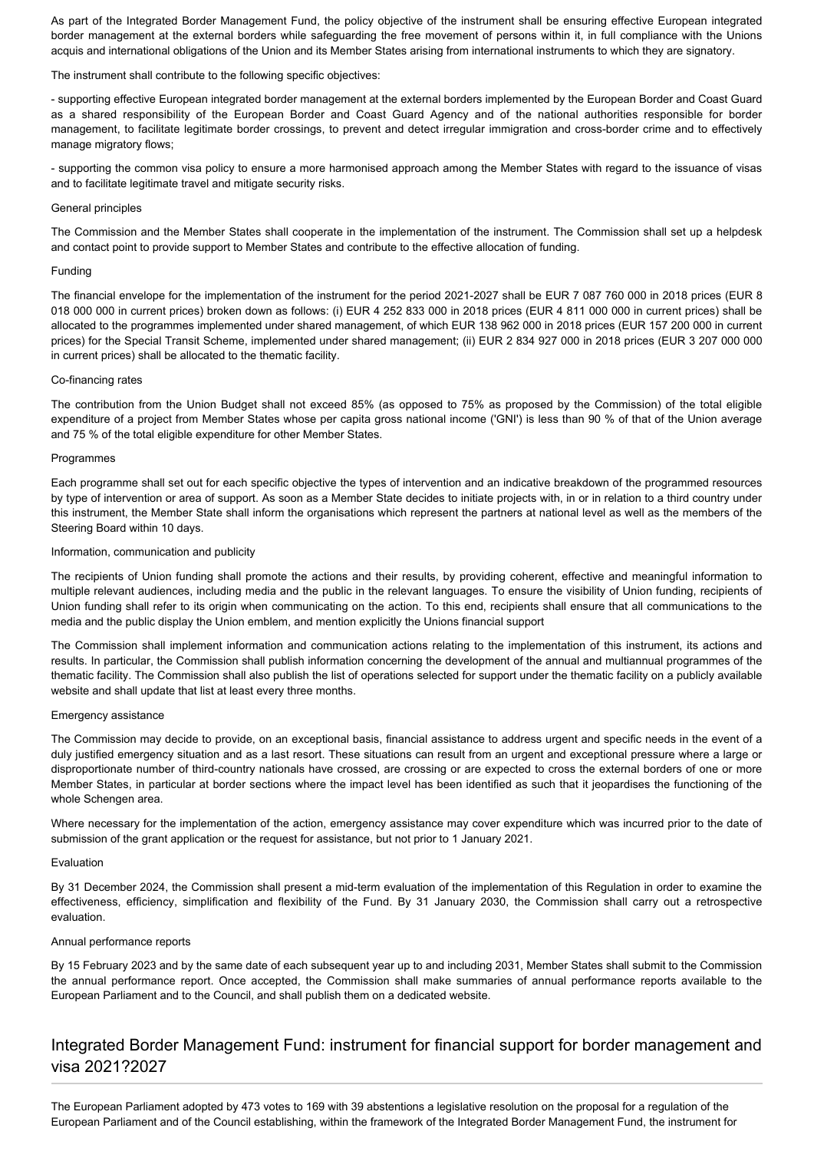As part of the Integrated Border Management Fund, the policy objective of the instrument shall be ensuring effective European integrated border management at the external borders while safeguarding the free movement of persons within it, in full compliance with the Unions acquis and international obligations of the Union and its Member States arising from international instruments to which they are signatory.

The instrument shall contribute to the following specific objectives:

- supporting effective European integrated border management at the external borders implemented by the European Border and Coast Guard as a shared responsibility of the European Border and Coast Guard Agency and of the national authorities responsible for border management, to facilitate legitimate border crossings, to prevent and detect irregular immigration and cross-border crime and to effectively manage migratory flows;

- supporting the common visa policy to ensure a more harmonised approach among the Member States with regard to the issuance of visas and to facilitate legitimate travel and mitigate security risks.

# General principles

The Commission and the Member States shall cooperate in the implementation of the instrument. The Commission shall set up a helpdesk and contact point to provide support to Member States and contribute to the effective allocation of funding.

# Funding

The financial envelope for the implementation of the instrument for the period 2021-2027 shall be EUR 7 087 760 000 in 2018 prices (EUR 8 018 000 000 in current prices) broken down as follows: (i) EUR 4 252 833 000 in 2018 prices (EUR 4 811 000 000 in current prices) shall be allocated to the programmes implemented under shared management, of which EUR 138 962 000 in 2018 prices (EUR 157 200 000 in current prices) for the Special Transit Scheme, implemented under shared management; (ii) EUR 2 834 927 000 in 2018 prices (EUR 3 207 000 000 in current prices) shall be allocated to the thematic facility.

# Co-financing rates

The contribution from the Union Budget shall not exceed 85% (as opposed to 75% as proposed by the Commission) of the total eligible expenditure of a project from Member States whose per capita gross national income ('GNI') is less than 90 % of that of the Union average and 75 % of the total eligible expenditure for other Member States.

# **Programmes**

Each programme shall set out for each specific objective the types of intervention and an indicative breakdown of the programmed resources by type of intervention or area of support. As soon as a Member State decides to initiate projects with, in or in relation to a third country under this instrument, the Member State shall inform the organisations which represent the partners at national level as well as the members of the Steering Board within 10 days.

# Information, communication and publicity

The recipients of Union funding shall promote the actions and their results, by providing coherent, effective and meaningful information to multiple relevant audiences, including media and the public in the relevant languages. To ensure the visibility of Union funding, recipients of Union funding shall refer to its origin when communicating on the action. To this end, recipients shall ensure that all communications to the media and the public display the Union emblem, and mention explicitly the Unions financial support

The Commission shall implement information and communication actions relating to the implementation of this instrument, its actions and results. In particular, the Commission shall publish information concerning the development of the annual and multiannual programmes of the thematic facility. The Commission shall also publish the list of operations selected for support under the thematic facility on a publicly available website and shall update that list at least every three months.

#### Emergency assistance

The Commission may decide to provide, on an exceptional basis, financial assistance to address urgent and specific needs in the event of a duly justified emergency situation and as a last resort. These situations can result from an urgent and exceptional pressure where a large or disproportionate number of third-country nationals have crossed, are crossing or are expected to cross the external borders of one or more Member States, in particular at border sections where the impact level has been identified as such that it jeopardises the functioning of the whole Schengen area.

Where necessary for the implementation of the action, emergency assistance may cover expenditure which was incurred prior to the date of submission of the grant application or the request for assistance, but not prior to 1 January 2021.

#### Evaluation

By 31 December 2024, the Commission shall present a mid-term evaluation of the implementation of this Regulation in order to examine the effectiveness, efficiency, simplification and flexibility of the Fund. By 31 January 2030, the Commission shall carry out a retrospective evaluation.

#### Annual performance reports

By 15 February 2023 and by the same date of each subsequent year up to and including 2031, Member States shall submit to the Commission the annual performance report. Once accepted, the Commission shall make summaries of annual performance reports available to the European Parliament and to the Council, and shall publish them on a dedicated website.

# Integrated Border Management Fund: instrument for financial support for border management and visa 2021?2027

The European Parliament adopted by 473 votes to 169 with 39 abstentions a legislative resolution on the proposal for a regulation of the European Parliament and of the Council establishing, within the framework of the Integrated Border Management Fund, the instrument for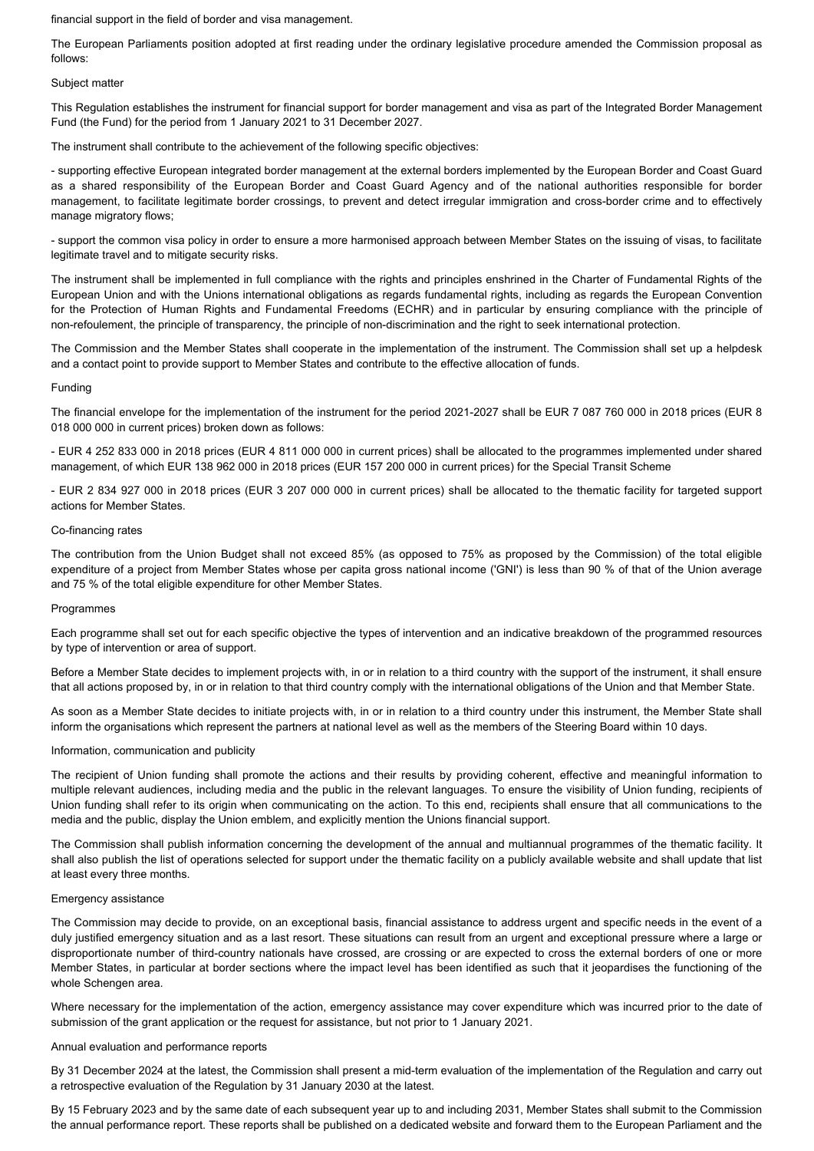financial support in the field of border and visa management.

The European Parliaments position adopted at first reading under the ordinary legislative procedure amended the Commission proposal as follows:

#### Subject matter

This Regulation establishes the instrument for financial support for border management and visa as part of the Integrated Border Management Fund (the Fund) for the period from 1 January 2021 to 31 December 2027.

The instrument shall contribute to the achievement of the following specific objectives:

- supporting effective European integrated border management at the external borders implemented by the European Border and Coast Guard as a shared responsibility of the European Border and Coast Guard Agency and of the national authorities responsible for border management, to facilitate legitimate border crossings, to prevent and detect irregular immigration and cross-border crime and to effectively manage migratory flows;

- support the common visa policy in order to ensure a more harmonised approach between Member States on the issuing of visas, to facilitate legitimate travel and to mitigate security risks.

The instrument shall be implemented in full compliance with the rights and principles enshrined in the Charter of Fundamental Rights of the European Union and with the Unions international obligations as regards fundamental rights, including as regards the European Convention for the Protection of Human Rights and Fundamental Freedoms (ECHR) and in particular by ensuring compliance with the principle of non-refoulement, the principle of transparency, the principle of non-discrimination and the right to seek international protection.

The Commission and the Member States shall cooperate in the implementation of the instrument. The Commission shall set up a helpdesk and a contact point to provide support to Member States and contribute to the effective allocation of funds.

#### Funding

The financial envelope for the implementation of the instrument for the period 2021-2027 shall be EUR 7 087 760 000 in 2018 prices (EUR 8 018 000 000 in current prices) broken down as follows:

- EUR 4 252 833 000 in 2018 prices (EUR 4 811 000 000 in current prices) shall be allocated to the programmes implemented under shared management, of which EUR 138 962 000 in 2018 prices (EUR 157 200 000 in current prices) for the Special Transit Scheme

- EUR 2 834 927 000 in 2018 prices (EUR 3 207 000 000 in current prices) shall be allocated to the thematic facility for targeted support actions for Member States.

# Co-financing rates

The contribution from the Union Budget shall not exceed 85% (as opposed to 75% as proposed by the Commission) of the total eligible expenditure of a project from Member States whose per capita gross national income ('GNI') is less than 90 % of that of the Union average and 75 % of the total eligible expenditure for other Member States.

#### Programmes

Each programme shall set out for each specific objective the types of intervention and an indicative breakdown of the programmed resources by type of intervention or area of support.

Before a Member State decides to implement projects with, in or in relation to a third country with the support of the instrument, it shall ensure that all actions proposed by, in or in relation to that third country comply with the international obligations of the Union and that Member State.

As soon as a Member State decides to initiate projects with, in or in relation to a third country under this instrument, the Member State shall inform the organisations which represent the partners at national level as well as the members of the Steering Board within 10 days.

#### Information, communication and publicity

The recipient of Union funding shall promote the actions and their results by providing coherent, effective and meaningful information to multiple relevant audiences, including media and the public in the relevant languages. To ensure the visibility of Union funding, recipients of Union funding shall refer to its origin when communicating on the action. To this end, recipients shall ensure that all communications to the media and the public, display the Union emblem, and explicitly mention the Unions financial support.

The Commission shall publish information concerning the development of the annual and multiannual programmes of the thematic facility. It shall also publish the list of operations selected for support under the thematic facility on a publicly available website and shall update that list at least every three months.

# Emergency assistance

The Commission may decide to provide, on an exceptional basis, financial assistance to address urgent and specific needs in the event of a duly justified emergency situation and as a last resort. These situations can result from an urgent and exceptional pressure where a large or disproportionate number of third-country nationals have crossed, are crossing or are expected to cross the external borders of one or more Member States, in particular at border sections where the impact level has been identified as such that it jeopardises the functioning of the whole Schengen area.

Where necessary for the implementation of the action, emergency assistance may cover expenditure which was incurred prior to the date of submission of the grant application or the request for assistance, but not prior to 1 January 2021.

#### Annual evaluation and performance reports

By 31 December 2024 at the latest, the Commission shall present a mid-term evaluation of the implementation of the Regulation and carry out a retrospective evaluation of the Regulation by 31 January 2030 at the latest.

By 15 February 2023 and by the same date of each subsequent year up to and including 2031, Member States shall submit to the Commission the annual performance report. These reports shall be published on a dedicated website and forward them to the European Parliament and the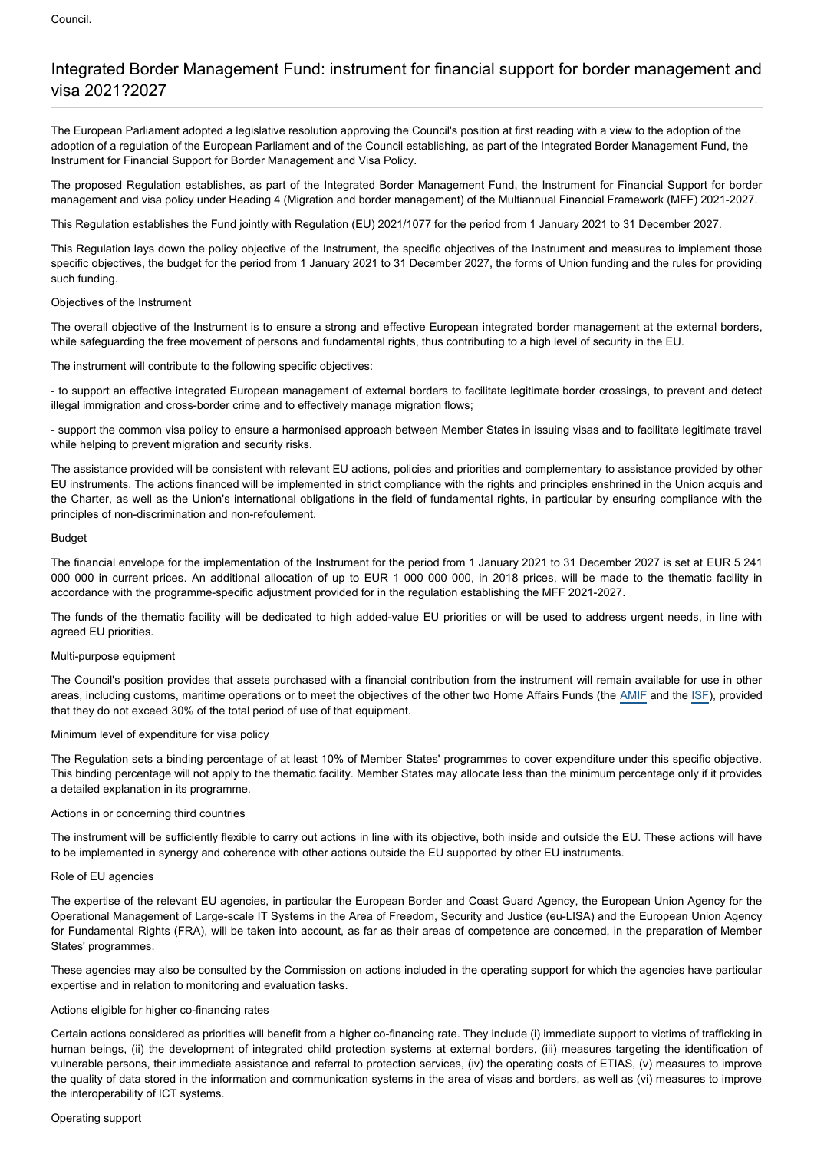# Integrated Border Management Fund: instrument for financial support for border management and visa 2021?2027

The European Parliament adopted a legislative resolution approving the Council's position at first reading with a view to the adoption of the adoption of a regulation of the European Parliament and of the Council establishing, as part of the Integrated Border Management Fund, the Instrument for Financial Support for Border Management and Visa Policy.

The proposed Regulation establishes, as part of the Integrated Border Management Fund, the Instrument for Financial Support for border management and visa policy under Heading 4 (Migration and border management) of the Multiannual Financial Framework (MFF) 2021-2027.

This Regulation establishes the Fund jointly with Regulation (EU) 2021/1077 for the period from 1 January 2021 to 31 December 2027.

This Regulation lays down the policy objective of the Instrument, the specific objectives of the Instrument and measures to implement those specific objectives, the budget for the period from 1 January 2021 to 31 December 2027, the forms of Union funding and the rules for providing such funding.

# Objectives of the Instrument

The overall objective of the Instrument is to ensure a strong and effective European integrated border management at the external borders, while safeguarding the free movement of persons and fundamental rights, thus contributing to a high level of security in the EU.

The instrument will contribute to the following specific objectives:

- to support an effective integrated European management of external borders to facilitate legitimate border crossings, to prevent and detect illegal immigration and cross-border crime and to effectively manage migration flows;

- support the common visa policy to ensure a harmonised approach between Member States in issuing visas and to facilitate legitimate travel while helping to prevent migration and security risks.

The assistance provided will be consistent with relevant EU actions, policies and priorities and complementary to assistance provided by other EU instruments. The actions financed will be implemented in strict compliance with the rights and principles enshrined in the Union acquis and the Charter, as well as the Union's international obligations in the field of fundamental rights, in particular by ensuring compliance with the principles of non-discrimination and non-refoulement.

# Budget

The financial envelope for the implementation of the Instrument for the period from 1 January 2021 to 31 December 2027 is set at EUR 5 241 000 000 in current prices. An additional allocation of up to EUR 1 000 000 000, in 2018 prices, will be made to the thematic facility in accordance with the programme-specific adjustment provided for in the regulation establishing the MFF 2021-2027.

The funds of the thematic facility will be dedicated to high added-value EU priorities or will be used to address urgent needs, in line with agreed EU priorities.

# Multi-purpose equipment

The Council's position provides that assets purchased with a financial contribution from the instrument will remain available for use in other areas, including customs, maritime operations or to meet the objectives of the other two Home Affairs Funds (the [AMIF](https://oeil.secure.europarl.europa.eu/oeil/popups/ficheprocedure.do?lang=en&reference=2018/0248(COD)) and the [ISF\)](https://oeil.secure.europarl.europa.eu/oeil/popups/ficheprocedure.do?lang=en&reference=2018/0250(COD)), provided that they do not exceed 30% of the total period of use of that equipment.

# Minimum level of expenditure for visa policy

The Regulation sets a binding percentage of at least 10% of Member States' programmes to cover expenditure under this specific objective. This binding percentage will not apply to the thematic facility. Member States may allocate less than the minimum percentage only if it provides a detailed explanation in its programme.

# Actions in or concerning third countries

The instrument will be sufficiently flexible to carry out actions in line with its objective, both inside and outside the EU. These actions will have to be implemented in synergy and coherence with other actions outside the EU supported by other EU instruments.

#### Role of EU agencies

The expertise of the relevant EU agencies, in particular the European Border and Coast Guard Agency, the European Union Agency for the Operational Management of Large-scale IT Systems in the Area of Freedom, Security and Justice (eu-LISA) and the European Union Agency for Fundamental Rights (FRA), will be taken into account, as far as their areas of competence are concerned, in the preparation of Member States' programmes.

These agencies may also be consulted by the Commission on actions included in the operating support for which the agencies have particular expertise and in relation to monitoring and evaluation tasks.

# Actions eligible for higher co-financing rates

Certain actions considered as priorities will benefit from a higher co-financing rate. They include (i) immediate support to victims of trafficking in human beings, (ii) the development of integrated child protection systems at external borders, (iii) measures targeting the identification of vulnerable persons, their immediate assistance and referral to protection services, (iv) the operating costs of ETIAS, (v) measures to improve the quality of data stored in the information and communication systems in the area of visas and borders, as well as (vi) measures to improve the interoperability of ICT systems.

#### Operating support